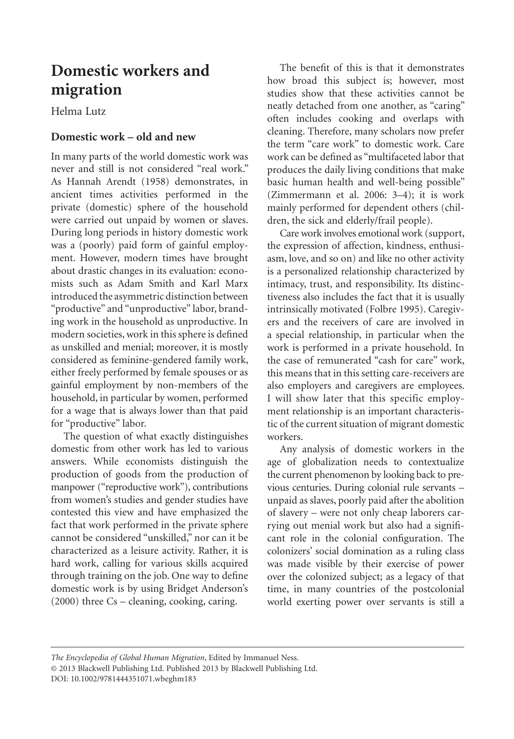# **Domestic workers and migration**

Helma Lutz

# **Domestic work – old and new**

In many parts of the world domestic work was never and still is not considered "real work." As Hannah Arendt (1958) demonstrates, in ancient times activities performed in the private (domestic) sphere of the household were carried out unpaid by women or slaves. During long periods in history domestic work was a (poorly) paid form of gainful employment. However, modern times have brought about drastic changes in its evaluation: economists such as Adam Smith and Karl Marx introduced the asymmetric distinction between "productive" and "unproductive" labor, branding work in the household as unproductive. In modern societies, work in this sphere is defined as unskilled and menial; moreover, it is mostly considered as feminine-gendered family work, either freely performed by female spouses or as gainful employment by non-members of the household, in particular by women, performed for a wage that is always lower than that paid for "productive" labor.

The question of what exactly distinguishes domestic from other work has led to various answers. While economists distinguish the production of goods from the production of manpower ("reproductive work"), contributions from women's studies and gender studies have contested this view and have emphasized the fact that work performed in the private sphere cannot be considered "unskilled," nor can it be characterized as a leisure activity. Rather, it is hard work, calling for various skills acquired through training on the job. One way to define domestic work is by using Bridget Anderson's (2000) three Cs – cleaning, cooking, caring.

The benefit of this is that it demonstrates how broad this subject is; however, most studies show that these activities cannot be neatly detached from one another, as "caring" often includes cooking and overlaps with cleaning. Therefore, many scholars now prefer the term "care work" to domestic work. Care work can be defined as "multifaceted labor that produces the daily living conditions that make basic human health and well-being possible" (Zimmermann et al. 2006: 3–4); it is work mainly performed for dependent others (children, the sick and elderly/frail people).

Care work involves emotional work (support, the expression of affection, kindness, enthusiasm, love, and so on) and like no other activity is a personalized relationship characterized by intimacy, trust, and responsibility. Its distinctiveness also includes the fact that it is usually intrinsically motivated (Folbre 1995). Caregivers and the receivers of care are involved in a special relationship, in particular when the work is performed in a private household. In the case of remunerated "cash for care" work, this means that in this setting care-receivers are also employers and caregivers are employees. I will show later that this specific employment relationship is an important characteristic of the current situation of migrant domestic workers.

Any analysis of domestic workers in the age of globalization needs to contextualize the current phenomenon by looking back to previous centuries. During colonial rule servants – unpaid as slaves, poorly paid after the abolition of slavery – were not only cheap laborers carrying out menial work but also had a significant role in the colonial configuration. The colonizers' social domination as a ruling class was made visible by their exercise of power over the colonized subject; as a legacy of that time, in many countries of the postcolonial world exerting power over servants is still a

*The Encyclopedia of Global Human Migration*, Edited by Immanuel Ness. © 2013 Blackwell Publishing Ltd. Published 2013 by Blackwell Publishing Ltd. DOI: 10.1002/9781444351071.wbeghm183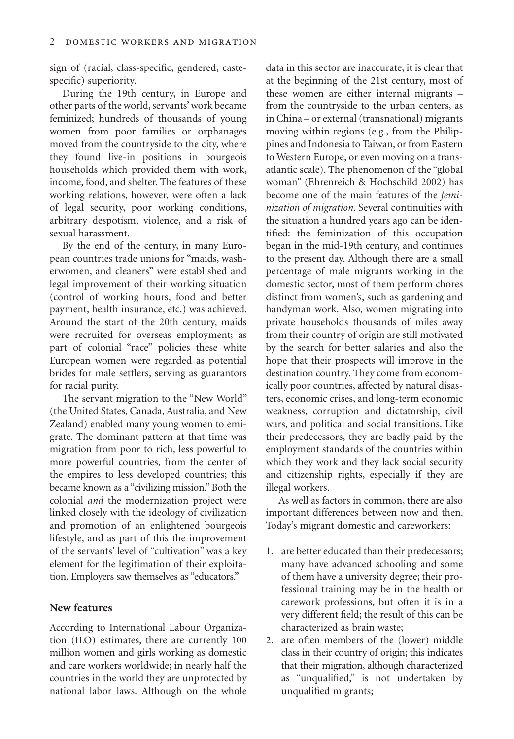sign of (racial, class-specific, gendered, castespecific) superiority.

During the 19th century, in Europe and other parts of the world, servants' work became feminized; hundreds of thousands of young women from poor families or orphanages moved from the countryside to the city, where they found live-in positions in bourgeois households which provided them with work, income, food, and shelter. The features of these working relations, however, were often a lack of legal security, poor working conditions, arbitrary despotism, violence, and a risk of sexual harassment.

By the end of the century, in many European countries trade unions for "maids, washerwomen, and cleaners" were established and legal improvement of their working situation (control of working hours, food and better payment, health insurance, etc.) was achieved. Around the start of the 20th century, maids were recruited for overseas employment; as part of colonial "race" policies these white European women were regarded as potential brides for male settlers, serving as guarantors for racial purity.

The servant migration to the "New World" (the United States, Canada, Australia, and New Zealand) enabled many young women to emigrate. The dominant pattern at that time was migration from poor to rich, less powerful to more powerful countries, from the center of the empires to less developed countries; this became known as a "civilizing mission." Both the colonial *and* the modernization project were linked closely with the ideology of civilization and promotion of an enlightened bourgeois lifestyle, and as part of this the improvement of the servants' level of "cultivation" was a key element for the legitimation of their exploitation. Employers saw themselves as "educators."

## **New features**

According to International Labour Organization (ILO) estimates, there are currently 100 million women and girls working as domestic and care workers worldwide; in nearly half the countries in the world they are unprotected by national labor laws. Although on the whole data in this sector are inaccurate, it is clear that at the beginning of the 21st century, most of these women are either internal migrants – from the countryside to the urban centers, as in China – or external (transnational) migrants moving within regions (e.g., from the Philippines and Indonesia to Taiwan, or from Eastern to Western Europe, or even moving on a transatlantic scale). The phenomenon of the "global woman" (Ehrenreich & Hochschild 2002) has become one of the main features of the *feminization of migration*. Several continuities with the situation a hundred years ago can be identified: the feminization of this occupation began in the mid-19th century, and continues to the present day. Although there are a small percentage of male migrants working in the domestic sector, most of them perform chores distinct from women's, such as gardening and handyman work. Also, women migrating into private households thousands of miles away from their country of origin are still motivated by the search for better salaries and also the hope that their prospects will improve in the destination country. They come from economically poor countries, affected by natural disasters, economic crises, and long-term economic weakness, corruption and dictatorship, civil wars, and political and social transitions. Like their predecessors, they are badly paid by the employment standards of the countries within which they work and they lack social security and citizenship rights, especially if they are illegal workers.

As well as factors in common, there are also important differences between now and then. Today's migrant domestic and careworkers:

- 1. are better educated than their predecessors; many have advanced schooling and some of them have a university degree; their professional training may be in the health or carework professions, but often it is in a very different field; the result of this can be characterized as brain waste;
- 2. are often members of the (lower) middle class in their country of origin; this indicates that their migration, although characterized as "unqualified," is not undertaken by unqualified migrants;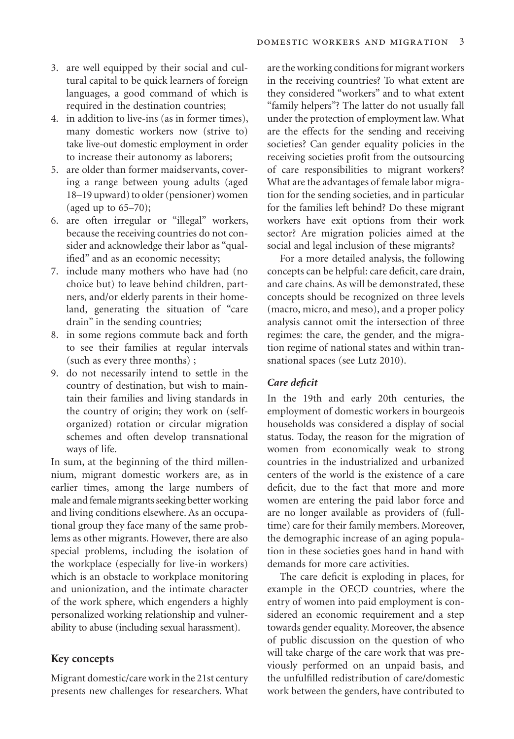- 3. are well equipped by their social and cultural capital to be quick learners of foreign languages, a good command of which is required in the destination countries;
- 4. in addition to live-ins (as in former times), many domestic workers now (strive to) take live-out domestic employment in order to increase their autonomy as laborers;
- 5. are older than former maidservants, covering a range between young adults (aged 18–19 upward) to older (pensioner) women (aged up to 65–70);
- 6. are often irregular or "illegal" workers, because the receiving countries do not consider and acknowledge their labor as "qualified" and as an economic necessity;
- 7. include many mothers who have had (no choice but) to leave behind children, partners, and/or elderly parents in their homeland, generating the situation of "care drain" in the sending countries;
- 8. in some regions commute back and forth to see their families at regular intervals (such as every three months) ;
- 9. do not necessarily intend to settle in the country of destination, but wish to maintain their families and living standards in the country of origin; they work on (selforganized) rotation or circular migration schemes and often develop transnational ways of life.

In sum, at the beginning of the third millennium, migrant domestic workers are, as in earlier times, among the large numbers of male and female migrants seeking better working and living conditions elsewhere. As an occupational group they face many of the same problems as other migrants. However, there are also special problems, including the isolation of the workplace (especially for live-in workers) which is an obstacle to workplace monitoring and unionization, and the intimate character of the work sphere, which engenders a highly personalized working relationship and vulnerability to abuse (including sexual harassment).

## **Key concepts**

Migrant domestic/care work in the 21st century presents new challenges for researchers. What

are the working conditions for migrant workers in the receiving countries? To what extent are they considered "workers" and to what extent "family helpers"? The latter do not usually fall under the protection of employment law. What are the effects for the sending and receiving societies? Can gender equality policies in the receiving societies profit from the outsourcing of care responsibilities to migrant workers? What are the advantages of female labor migration for the sending societies, and in particular for the families left behind? Do these migrant workers have exit options from their work sector? Are migration policies aimed at the social and legal inclusion of these migrants?

For a more detailed analysis, the following concepts can be helpful: care deficit, care drain, and care chains. As will be demonstrated, these concepts should be recognized on three levels (macro, micro, and meso), and a proper policy analysis cannot omit the intersection of three regimes: the care, the gender, and the migration regime of national states and within transnational spaces (see Lutz 2010).

### *Care deficit*

In the 19th and early 20th centuries, the employment of domestic workers in bourgeois households was considered a display of social status. Today, the reason for the migration of women from economically weak to strong countries in the industrialized and urbanized centers of the world is the existence of a care deficit, due to the fact that more and more women are entering the paid labor force and are no longer available as providers of (fulltime) care for their family members. Moreover, the demographic increase of an aging population in these societies goes hand in hand with demands for more care activities.

The care deficit is exploding in places, for example in the OECD countries, where the entry of women into paid employment is considered an economic requirement and a step towards gender equality. Moreover, the absence of public discussion on the question of who will take charge of the care work that was previously performed on an unpaid basis, and the unfulfilled redistribution of care/domestic work between the genders, have contributed to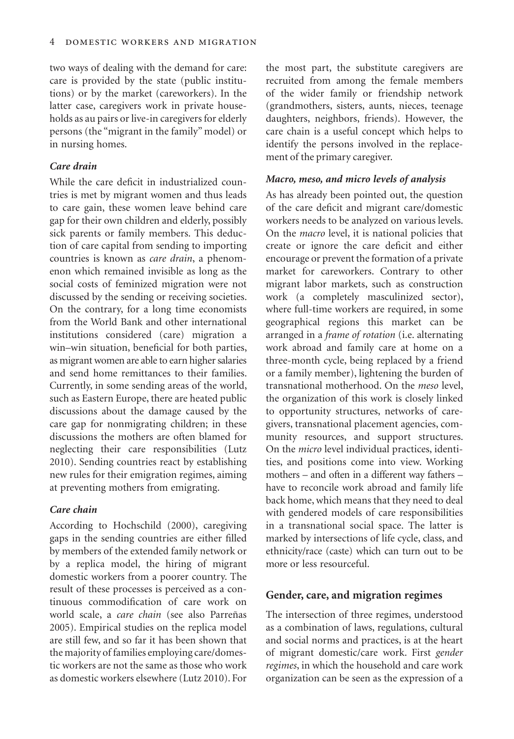two ways of dealing with the demand for care: care is provided by the state (public institutions) or by the market (careworkers). In the latter case, caregivers work in private households as au pairs or live-in caregivers for elderly persons (the "migrant in the family" model) or in nursing homes.

# *Care drain*

While the care deficit in industrialized countries is met by migrant women and thus leads to care gain, these women leave behind care gap for their own children and elderly, possibly sick parents or family members. This deduction of care capital from sending to importing countries is known as *care drain*, a phenomenon which remained invisible as long as the social costs of feminized migration were not discussed by the sending or receiving societies. On the contrary, for a long time economists from the World Bank and other international institutions considered (care) migration a win–win situation, beneficial for both parties, as migrant women are able to earn higher salaries and send home remittances to their families. Currently, in some sending areas of the world, such as Eastern Europe, there are heated public discussions about the damage caused by the care gap for nonmigrating children; in these discussions the mothers are often blamed for neglecting their care responsibilities (Lutz 2010). Sending countries react by establishing new rules for their emigration regimes, aiming at preventing mothers from emigrating.

## *Care chain*

According to Hochschild (2000), caregiving gaps in the sending countries are either filled by members of the extended family network or by a replica model, the hiring of migrant domestic workers from a poorer country. The result of these processes is perceived as a continuous commodification of care work on world scale, a *care chain* (see also Parreñas 2005). Empirical studies on the replica model are still few, and so far it has been shown that the majority of families employing care/domestic workers are not the same as those who work as domestic workers elsewhere (Lutz 2010). For the most part, the substitute caregivers are recruited from among the female members of the wider family or friendship network (grandmothers, sisters, aunts, nieces, teenage daughters, neighbors, friends). However, the care chain is a useful concept which helps to identify the persons involved in the replacement of the primary caregiver.

## *Macro, meso, and micro levels of analysis*

As has already been pointed out, the question of the care deficit and migrant care/domestic workers needs to be analyzed on various levels. On the *macro* level, it is national policies that create or ignore the care deficit and either encourage or prevent the formation of a private market for careworkers. Contrary to other migrant labor markets, such as construction work (a completely masculinized sector), where full-time workers are required, in some geographical regions this market can be arranged in a *frame of rotation* (i.e. alternating work abroad and family care at home on a three-month cycle, being replaced by a friend or a family member), lightening the burden of transnational motherhood. On the *meso* level, the organization of this work is closely linked to opportunity structures, networks of caregivers, transnational placement agencies, community resources, and support structures. On the *micro* level individual practices, identities, and positions come into view. Working mothers – and often in a different way fathers – have to reconcile work abroad and family life back home, which means that they need to deal with gendered models of care responsibilities in a transnational social space. The latter is marked by intersections of life cycle, class, and ethnicity/race (caste) which can turn out to be more or less resourceful.

### **Gender, care, and migration regimes**

The intersection of three regimes, understood as a combination of laws, regulations, cultural and social norms and practices, is at the heart of migrant domestic/care work. First *gender regimes*, in which the household and care work organization can be seen as the expression of a